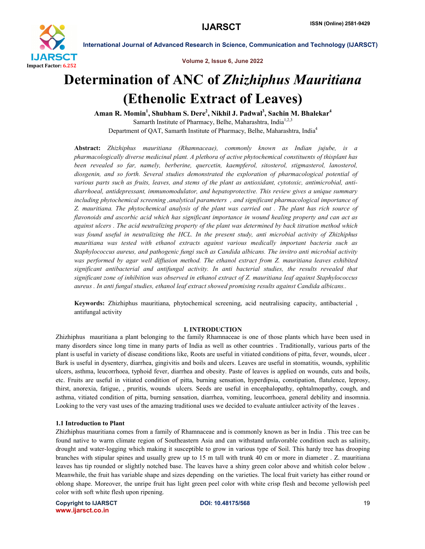

Volume 2, Issue 6, June 2022

## Determination of ANC of *Zhizhiphus Mauritiana* (Ethenolic Extract of Leaves)

Aman R. Momin<sup>1</sup>, Shubham S. Dere<sup>2</sup>, Nikhil J. Padwal<sup>3</sup>, Sachin M. Bhalekar<sup>4</sup> Samarth Institute of Pharmacy, Belhe, Maharashtra, India<sup>1,2,3</sup> Department of QAT, Samarth Institute of Pharmacy, Belhe, Maharashtra, India4

Abstract: *Zhizhiphus mauritiana (Rhamnaceae), commonly known as Indian jujube, is a pharmacologically diverse medicinal plant. A plethora of active phytochemical constituents of thisplant has been revealed so far, namely, berberine, quercetin, kaempferol, sitosterol, stigmasterol, lanosterol, diosgenin, and so forth. Several studies demonstrated the exploration of pharmacological potential of various parts such as fruits, leaves, and stems of the plant as antioxidant, cytotoxic, antimicrobial, antidiarrhoeal, antidepressant, immunomodulator, and hepatoprotective. This review gives a unique summary including phytochemical screening ,analytical parameters , and significant pharmacological importance of Z. mauritiana. The phytochemical analysis of the plant was carried out . The plant has rich source of flavonoids and ascorbic acid which has significant importance in wound healing property and can act as against ulcers . The acid neutralizing property of the plant was determined by back titration method which was found useful in neutralizing the HCL. In the present study, anti microbial activity of Zhizhiphus mauritiana was tested with ethanol extracts against various medically important bacteria such as Staphylococcus aureus, and pathogenic fungi such as Candida albicans. The invitro anti microbial activity was performed by agar well diffusion method. The ethanol extract from Z. mauritiana leaves exhibited significant antibacterial and antifungal activity. In anti bacterial studies, the results revealed that significant zone of inhibition was observed in ethanol extract of Z. mauritiana leaf against Staphylococcus aureus . In anti fungal studies, ethanol leaf extract showed promising results against Candida albicans..*

Keywords: Zhizhiphus mauritiana, phytochemical screening, acid neutralising capacity, antibacterial , antifungal activity

#### I. INTRODUCTION

Zhizhiphus mauritiana a plant belonging to the family Rhamnaceae is one of those plants which have been used in many disorders since long time in many parts of India as well as other countries . Traditionally, various parts of the plant is useful in variety of disease conditions like, Roots are useful in vitiated conditions of pitta, fever, wounds, ulcer . Bark is useful in dysentery, diarrhea, gingivitis and boils and ulcers. Leaves are useful in stomatitis, wounds, syphilitic ulcers, asthma, leucorrhoea, typhoid fever, diarrhea and obesity. Paste of leaves is applied on wounds, cuts and boils, etc. Fruits are useful in vitiated condition of pitta, burning sensation, hyperdipsia, constipation, flatulence, leprosy, thirst, anorexia, fatigue, , pruritis, wounds ulcers. Seeds are useful in encephalopathy, ophtalmopathy, cough, and asthma, vitiated condition of pitta, burning sensation, diarrhea, vomiting, leucorrhoea, general debility and insomnia. Looking to the very vast uses of the amazing traditional uses we decided to evaluate antiulcer activity of the leaves.

#### 1.1 Introduction to Plant

Zhizhiphus mauritiana comes from a family of Rhamnaceae and is commonly known as ber in India . This tree can be found native to warm climate region of Southeastern Asia and can withstand unfavorable condition such as salinity, drought and water-logging which making it susceptible to grow in various type of Soil. This hardy tree has drooping branches with stipular spines and usually grew up to 15 m tall with trunk 40 cm or more in diameter . Z. mauritiana leaves has tip rounded or slightly notched base. The leaves have a shiny green color above and whitish color below . Meanwhile, the fruit has variable shape and sizes depending on the varieties. The local fruit variety has either round or oblong shape. Moreover, the unripe fruit has light green peel color with white crisp flesh and become yellowish peel color with soft white flesh upon ripening.

Copyright to IJARSCTDOI: 10.48175/568 **19** www.ijarsct.co.in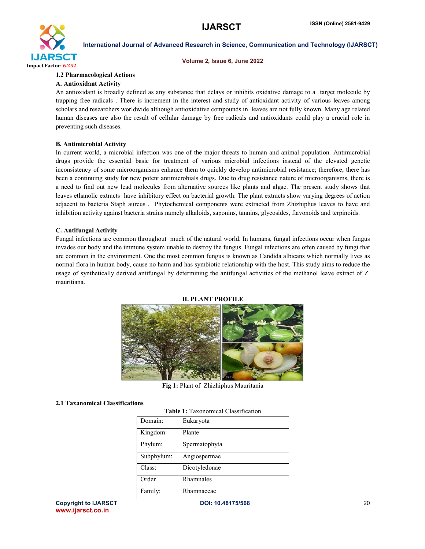

#### Volume 2, Issue 6, June 2022

#### 1.2 Pharmacological Actions

#### A. Antioxidant Activity

An antioxidant is broadly defined as any substance that delays or inhibits oxidative damage to a target molecule by trapping free radicals . There is increment in the interest and study of antioxidant activity of various leaves among scholars and researchers worldwide although antioxidative compounds in leaves are not fully known. Many age related human diseases are also the result of cellular damage by free radicals and antioxidants could play a crucial role in preventing such diseases.

#### B. Antimicrobial Activity

In current world, a microbial infection was one of the major threats to human and animal population. Antimicrobial drugs provide the essential basic for treatment of various microbial infections instead of the elevated genetic inconsistency of some microorganisms enhance them to quickly develop antimicrobial resistance; therefore, there has been a continuing study for new potent antimicrobials drugs. Due to drug resistance nature of microorganisms, there is a need to find out new lead molecules from alternative sources like plants and algae. The present study shows that leaves ethanolic extracts have inhibitory effect on bacterial growth. The plant extracts show varying degrees of action adjacent to bacteria Staph aureus . Phytochemical components were extracted from Zhizhiphus leaves to have and inhibition activity against bacteria strains namely alkaloids, saponins, tannins, glycosides, flavonoids and terpinoids.

#### C. Antifungal Activity

Fungal infections are common throughout much of the natural world. In humans, fungal infections occur when fungus invades our body and the immune system unable to destroy the fungus. Fungal infections are often caused by fungi that are common in the environment. One the most common fungus is known as Candida albicans which normally lives as normal flora in human body, cause no harm and has symbiotic relationship with the host. This study aims to reduce the usage of synthetically derived antifungal by determining the antifungal activities of the methanol leave extract of Z. mauritiana.

#### II. PLANT PROFILE



Fig 1: Plant of Zhizhiphus Mauritania

#### 2.1 Taxanomical Classifications

Table 1: Taxonomical Classification

| Table 1. Taxonomical Classification |               |  |
|-------------------------------------|---------------|--|
| Domain:                             | Eukaryota     |  |
| Kingdom:                            | Plante        |  |
| Phylum:                             | Spermatophyta |  |
| Subphylum:                          | Angiospermae  |  |
| Class:                              | Dicotyledonae |  |
| Order                               | Rhamnales     |  |
| Family:                             | Rhamnaceae    |  |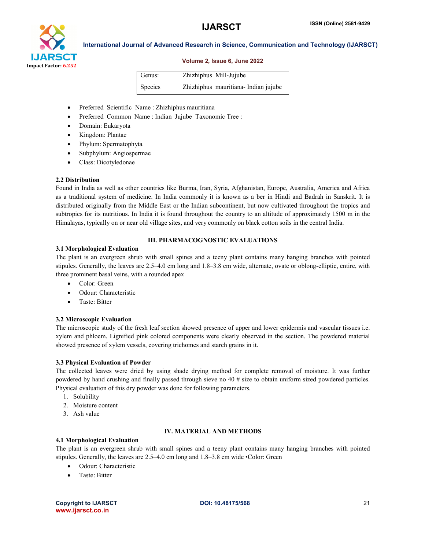

#### Volume 2, Issue 6, June 2022

| Genus:         | Zhizhiphus Mill-Jujube              |
|----------------|-------------------------------------|
| <b>Species</b> | Zhizhiphus mauritiana-Indian jujube |

- Preferred Scientific Name : Zhizhiphus mauritiana
- Preferred Common Name : Indian Jujube Taxonomic Tree :
- Domain: Eukaryota
- Kingdom: Plantae
- Phylum: Spermatophyta
- Subphylum: Angiospermae
- Class: Dicotyledonae

#### 2.2 Distribution

Found in India as well as other countries like Burma, Iran, Syria, Afghanistan, Europe, Australia, America and Africa as a traditional system of medicine. In India commonly it is known as a ber in Hindi and Badrah in Sanskrit. It is distributed originally from the Middle East or the Indian subcontinent, but now cultivated throughout the tropics and subtropics for its nutritious. In India it is found throughout the country to an altitude of approximately 1500 m in the Himalayas, typically on or near old village sites, and very commonly on black cotton soils in the central India.

#### III. PHARMACOGNOSTIC EVALUATIONS

#### 3.1 Morphological Evaluation

The plant is an evergreen shrub with small spines and a teeny plant contains many hanging branches with pointed stipules. Generally, the leaves are 2.5–4.0 cm long and 1.8–3.8 cm wide, alternate, ovate or oblong-elliptic, entire, with three prominent basal veins, with a rounded apex

- Color: Green
- Odour: Characteristic
- Taste: Bitter

#### 3.2 Microscopic Evaluation

The microscopic study of the fresh leaf section showed presence of upper and lower epidermis and vascular tissues i.e. xylem and phloem. Lignified pink colored components were clearly observed in the section. The powdered material showed presence of xylem vessels, covering trichomes and starch grains in it.

#### 3.3 Physical Evaluation of Powder

The collected leaves were dried by using shade drying method for complete removal of moisture. It was further powdered by hand crushing and finally passed through sieve no 40 # size to obtain uniform sized powdered particles. Physical evaluation of this dry powder was done for following parameters.

- 1. Solubility
- 2. Moisture content
- 3. Ash value

#### IV. MATERIAL AND METHODS

#### 4.1 Morphological Evaluation

The plant is an evergreen shrub with small spines and a teeny plant contains many hanging branches with pointed stipules. Generally, the leaves are 2.5–4.0 cm long and 1.8–3.8 cm wide •Color: Green

- Odour: Characteristic
- Taste: Bitter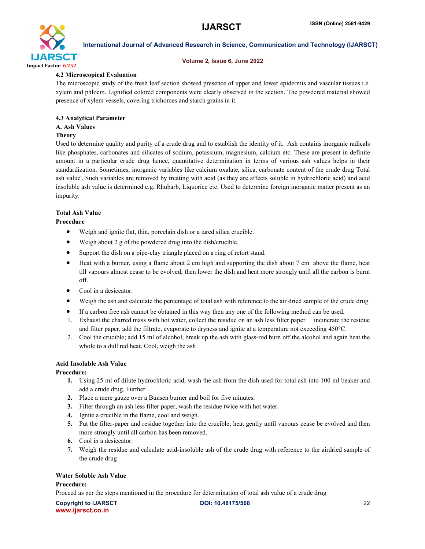

#### Volume 2, Issue 6, June 2022

### 4.2 Microscopical Evaluation

The microscopic study of the fresh leaf section showed presence of upper and lower epidermis and vascular tissues i.e. xylem and phloem. Lignified colored components were clearly observed in the section. The powdered material showed presence of xylem vessels, covering trichomes and starch grains in it.

#### 4.3 Analytical Parameter

#### A. Ash Values

#### Theory

Used to determine quality and purity of a crude drug and to establish the identity of it. Ash contains inorganic radicals like phosphates, carbonates and silicates of sodium, potassium, magnesium, calcium etc. These are present in definite amount in a particular crude drug hence, quantitative determination in terms of various ash values helps in their standardization. Sometimes, inorganic variables like calcium oxalate, silica, carbonate content of the crude drug Total ash value'. Such variables are removed by treating with acid (as they are affects soluble in hydrochloric acid) and acid insoluble ash value is determined e.g. Rhubarb, Liquorice etc. Used to determine foreign inorganic matter present as an impurity.

#### Total Ash Value

#### Procedure

- Weigh and ignite flat, thin, porcelain dish or a tared silica crucible.
- Weigh about 2 g of the powdered drug into the dish/crucible.
- Support the dish on a pipe-clay triangle placed on a ring of retort stand.
- Heat with a burner, using a flame about 2 cm high and supporting the dish about 7 cm above the flame, heat till vapours almost cease to be evolved; then lower the dish and heat more strongly until all the carbon is burnt off.
- Cool in a desiccator.
- Weigh the ash and calculate the percentage of total ash with reference to the air dried sample of the crude drug
- If a carbon free ash cannot be obtained in this way then any one of the following method can be used.
- 1. Exhaust the charred mass with hot water, collect the residue on an ash less filter paper incinerate the residue and filter paper, add the filtrate, evaporate to dryness and ignite at a temperature not exceeding 450°C.
- 2. Cool the crucible; add 15 ml of alcohol, break up the ash with glass-rod burn off the alcohol and again heat the whole to a dull red heat. Cool, weigh the ash

#### Acid Insoluble Ash Value

#### Procedure:

- 1. Using 25 ml of dilute hydrochloric acid, wash the ash from the dish used for total ash into 100 ml beaker and add a crude drug. Further
- 2. Place a mere gauze over a Bunsen burner and boil for five minutes.
- 3. Filter through an ash less filter paper, wash the residue twice with hot water.
- 4. Ignite a crucible in the flame, cool and weigh.
- 5. Put the filter-paper and residue together into the crucible; heat gently until vapours cease be evolved and then more strongly until all carbon has been removed.
- 6. Cool in a desiccator.
- 7. Weigh the residue and calculate acid-insoluble ash of the crude drug with reference to the airdried sample of the crude drug

#### Water Soluble Ash Value

#### Procedure:

Proceed as per the steps mentioned in the procedure for determination of total ash value of a crude drug

Copyright to IJARSCTDOI: 10.48175/568 **22** www.ijarsct.co.in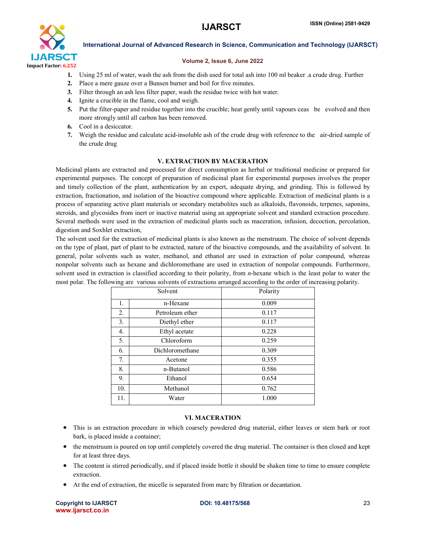

#### Volume 2, Issue 6, June 2022

- 1. Using 25 ml of water, wash the ash from the dish used for total ash into 100 ml beaker .a crude drug. Further
- 2. Place a mere gauze over a Bunsen burner and boil for five minutes.
- 3. Filter through an ash less filter paper, wash the residue twice with hot water.
- 4. Ignite a crucible in the flame, cool and weigh.
- 5. Put the filter-paper and residue together into the crucible; heat gently until vapours ceas be evolved and then more strongly until all carbon has been removed.
- 6. Cool in a desiccator.
- 7. Weigh the residue and calculate acid-insoluble ash of the crude drug with reference to the air-dried sample of the crude drug

#### V. EXTRACTION BY MACERATION

Medicinal plants are extracted and processed for direct consumption as herbal or traditional medicine or prepared for experimental purposes. The concept of preparation of medicinal plant for experimental purposes involves the proper and timely collection of the plant, authentication by an expert, adequate drying, and grinding. This is followed by extraction, fractionation, and isolation of the bioactive compound where applicable. Extraction of medicinal plants is a process of separating active plant materials or secondary metabolites such as alkaloids, flavonoids, terpenes, saponins, steroids, and glycosides from inert or inactive material using an appropriate solvent and standard extraction procedure. Several methods were used in the extraction of medicinal plants such as maceration, infusion, decoction, percolation, digestion and Soxhlet extraction,

The solvent used for the extraction of medicinal plants is also known as the menstruum. The choice of solvent depends on the type of plant, part of plant to be extracted, nature of the bioactive compounds, and the availability of solvent. In general, polar solvents such as water, methanol, and ethanol are used in extraction of polar compound, whereas nonpolar solvents such as hexane and dichloromethane are used in extraction of nonpolar compounds. Furthermore, solvent used in extraction is classified according to their polarity, from *n*-hexane which is the least polar to water the most polar. The following are various solvents of extractions arranged according to the order of increasing polarity.

| Solvent |                 | Polarity |
|---------|-----------------|----------|
| 1.      | n-Hexane        | 0.009    |
| 2.      | Petroleum ether | 0.117    |
| 3.      | Diethyl ether   | 0.117    |
| 4.      | Ethyl acetate   | 0.228    |
| 5.      | Chloroform      | 0.259    |
| 6.      | Dichloromethane | 0.309    |
| 7.      | Acetone         | 0.355    |
| 8.      | n-Butanol       | 0.586    |
| 9.      | Ethanol         | 0.654    |
| 10.     | Methanol        | 0.762    |
| 11.     | Water           | 1.000    |

#### VI. MACERATION

- This is an extraction procedure in which coarsely powdered drug material, either leaves or stem bark or root bark, is placed inside a container;
- the menstruum is poured on top until completely covered the drug material. The container is then closed and kept for at least three days.
- The content is stirred periodically, and if placed inside bottle it should be shaken time to time to ensure complete extraction.
- At the end of extraction, the micelle is separated from marc by filtration or decantation.

Copyright to IJARSCTDOI: 10.48175/568 **23** www.ijarsct.co.in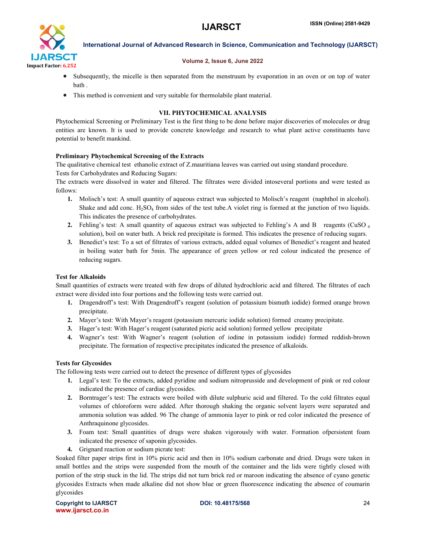

#### Volume 2, Issue 6, June 2022

- Subsequently, the micelle is then separated from the menstruum by evaporation in an oven or on top of water bath .
- This method is convenient and very suitable for thermolabile plant material.

## VII. PHYTOCHEMICAL ANALYSIS

Phytochemical Screening or Preliminary Test is the first thing to be done before major discoveries of molecules or drug entities are known. It is used to provide concrete knowledge and research to what plant active constituents have potential to benefit mankind.

#### Preliminary Phytochemical Screening of the Extracts

The qualitative chemical test ethanolic extract of Z.mauritiana leaves was carried out using standard procedure.

Tests for Carbohydrates and Reducing Sugars:

The extracts were dissolved in water and filtered. The filtrates were divided intoseveral portions and were tested as follows:

- 1. Molisch's test: A small quantity of aqueous extract was subjected to Molisch's reagent (naphthol in alcohol). Shake and add conc.  $H_2SO_4$  from sides of the test tube. A violet ring is formed at the junction of two liquids. This indicates the presence of carbohydrates.
- 2. Fehling's test: A small quantity of aqueous extract was subjected to Fehling's A and B reagents (CuSO 4 solution), boil on water bath. A brick red precipitate is formed. This indicates the presence of reducing sugars.
- 3. Benedict's test: To a set of filtrates of various extracts, added equal volumes of Benedict's reagent and heated in boiling water bath for 5min. The appearance of green yellow or red colour indicated the presence of reducing sugars.

#### Test for Alkaloids

Small quantities of extracts were treated with few drops of diluted hydrochloric acid and filtered. The filtrates of each extract were divided into four portions and the following tests were carried out.

- 1. Dragendroff's test: With Dragendroff's reagent (solution of potassium bismuth iodide) formed orange brown precipitate.
- 2. Mayer's test: With Mayer's reagent (potassium mercuric iodide solution) formed creamy precipitate.
- 3. Hager's test: With Hager's reagent (saturated picric acid solution) formed yellow precipitate
- 4. Wagner's test: With Wagner's reagent (solution of iodine in potassium iodide) formed reddish-brown precipitate. The formation of respective precipitates indicated the presence of alkaloids.

#### Tests for Glycosides

The following tests were carried out to detect the presence of different types of glycosides

- 1. Legal's test: To the extracts, added pyridine and sodium nitroprusside and development of pink or red colour indicated the presence of cardiac glycosides.
- 2. Borntrager's test: The extracts were boiled with dilute sulphuric acid and filtered. To the cold filtrates equal volumes of chloroform were added. After thorough shaking the organic solvent layers were separated and ammonia solution was added. 96 The change of ammonia layer to pink or red color indicated the presence of Anthraquinone glycosides.
- 3. Foam test: Small quantities of drugs were shaken vigorously with water. Formation ofpersistent foam indicated the presence of saponin glycosides.
- 4. Grignard reaction or sodium picrate test:

Soaked filter paper strips first in 10% picric acid and then in 10% sodium carbonate and dried. Drugs were taken in small bottles and the strips were suspended from the mouth of the container and the lids were tightly closed with portion of the strip stuck in the lid. The strips did not turn brick red or maroon indicating the absence of cyano genetic glycosides Extracts when made alkaline did not show blue or green fluorescence indicating the absence of coumarin glycosides

Copyright to IJARSCTDOI: 10.48175/568 **24** www.ijarsct.co.in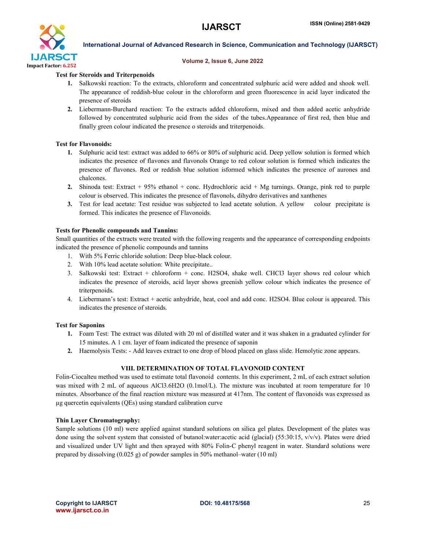

#### Volume 2, Issue 6, June 2022

#### Test for Steroids and Triterpenoids

- 1. Salkowski reaction: To the extracts, chloroform and concentrated sulphuric acid were added and shook well. The appearance of reddish-blue colour in the chloroform and green fluorescence in acid layer indicated the presence of steroids
- 2. Liebermann-Burchard reaction: To the extracts added chloroform, mixed and then added acetic anhydride followed by concentrated sulphuric acid from the sides of the tubes.Appearance of first red, then blue and finally green colour indicated the presence o steroids and triterpenoids.

#### Test for Flavonoids:

- 1. Sulphuric acid test: extract was added to 66% or 80% of sulphuric acid. Deep yellow solution is formed which indicates the presence of flavones and flavonols Orange to red colour solution is formed which indicates the presence of flavones. Red or reddish blue solution isformed which indicates the presence of aurones and chalcones.
- 2. Shinoda test: Extract + 95% ethanol + conc. Hydrochloric acid + Mg turnings. Orange, pink red to purple colour is observed. This indicates the presence of flavonols, dihydro derivatives and xanthenes
- 3. Test for lead acetate: Test residue was subjected to lead acetate solution. A yellow colour precipitate is formed. This indicates the presence of Flavonoids.

#### Tests for Phenolic compounds and Tannins:

Small quantities of the extracts were treated with the following reagents and the appearance of corresponding endpoints indicated the presence of phenolic compounds and tannins

- 1. With 5% Ferric chloride solution: Deep blue-black colour.
- 2. With 10% lead acetate solution: White precipitate..
- 3. Salkowski test: Extract + chloroform + conc. H2SO4, shake well. CHCl3 layer shows red colour which indicates the presence of steroids, acid layer shows greenish yellow colour which indicates the presence of triterpenoids.
- 4. Liebermann's test: Extract + acetic anhydride, heat, cool and add conc. H2SO4. Blue colour is appeared. This indicates the presence of steroids.

#### Test for Saponins

- 1. Foam Test: The extract was diluted with 20 ml of distilled water and it was shaken in a graduated cylinder for 15 minutes. A 1 cm. layer of foam indicated the presence of saponin
- 2. Haemolysis Tests: Add leaves extract to one drop of blood placed on glass slide. Hemolytic zone appears.

#### VIII. DETERMINATION OF TOTAL FLAVONOID CONTENT

Folin-Ciocalteu method was used to estimate total flavonoid contents. In this experiment, 2 mL of each extract solution was mixed with 2 mL of aqueous AlCl3.6H2O (0.1mol/L). The mixture was incubated at room temperature for 10 minutes. Absorbance of the final reaction mixture was measured at 417nm. The content of flavonoids was expressed as µg quercetin equivalents (QEs) using standard calibration curve

#### Thin Layer Chromatography:

Sample solutions (10 ml) were applied against standard solutions on silica gel plates. Development of the plates was done using the solvent system that consisted of butanol:water:acetic acid (glacial) (55:30:15, v/v/v). Plates were dried and visualized under UV light and then sprayed with 80% Folin-C phenyl reagent in water. Standard solutions were prepared by dissolving (0.025 g) of powder samples in 50% methanol–water (10 ml)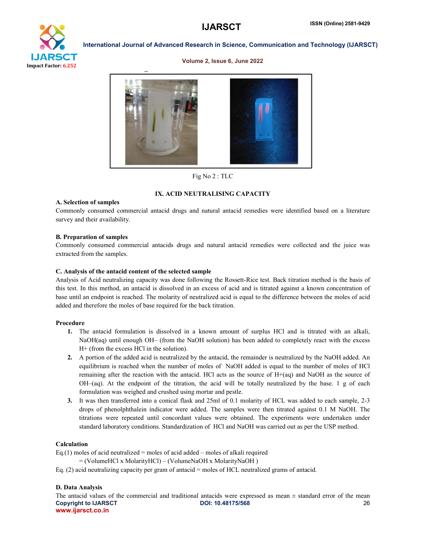# Impact Factor: 6.252

#### International Journal of Advanced Research in Science, Communication and Technology (IJARSCT)

#### Volume 2, Issue 6, June 2022



Fig No 2 : TLC

#### IX. ACID NEUTRALISING CAPACITY

#### A. Selection of samples

Commonly consumed commercial antacid drugs and natural antacid remedies were identified based on a literature survey and their availability.

#### B. Preparation of samples

Commonly consumed commercial antacids drugs and natural antacid remedies were collected and the juice was extracted from the samples.

#### C. Analysis of the antacid content of the selected sample

Analysis of Acid neutralizing capacity was done following the Rossett-Rice test. Back titration method is the basis of this test. In this method, an antacid is dissolved in an excess of acid and is titrated against a known concentration of base until an endpoint is reached. The molarity of neutralized acid is equal to the difference between the moles of acid added and therefore the moles of base required for the back titration.

#### Procedure

- 1. The antacid formulation is dissolved in a known amount of surplus HCl and is titrated with an alkali, NaOH(aq) until enough OH– (from the NaOH solution) has been added to completely react with the excess H+ (from the excess HCl in the solution).
- 2. A portion of the added acid is neutralized by the antacid, the remainder is neutralized by the NaOH added. An equilibrium is reached when the number of moles of NaOH added is equal to the number of moles of HCl remaining after the reaction with the antacid. HCl acts as the source of  $H+(aq)$  and NaOH as the source of OH–(aq). At the endpoint of the titration, the acid will be totally neutralized by the base. 1 g of each formulation was weighed and crushed using mortar and pestle.
- 3. It was then transferred into a conical flask and 25ml of 0.1 molarity of HCL was added to each sample, 2-3 drops of phenolphthalein indicator were added. The samples were then titrated against 0.1 M NaOH. The titrations were repeated until concordant values were obtained. The experiments were undertaken under standard laboratory conditions. Standardization of HCl and NaOH was carried out as per the USP method.

#### Calculation

Eq.(1) moles of acid neutralized = moles of acid added – moles of alkali required

- = (VolumeHCl x MolarityHCl) (VolumeNaOH x MolarityNaOH )
- Eq. (2) acid neutralizing capacity per gram of antacid = moles of HCL neutralized grams of antacid.

## D. Data Analysis

Copyright to IJARSCTDOI: 10.48175/568 **26** www.ijarsct.co.in The antacid values of the commercial and traditional antacids were expressed as mean  $\pm$  standard error of the mean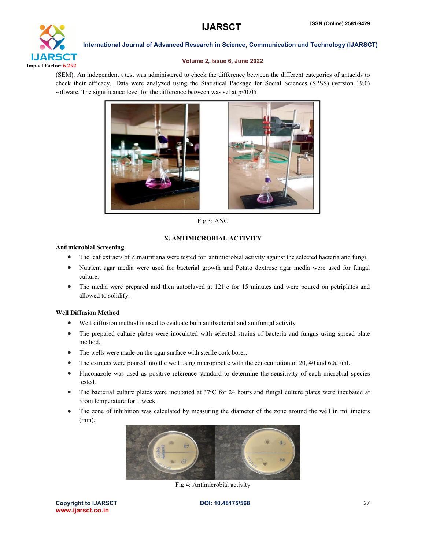

#### Volume 2, Issue 6, June 2022

(SEM). An independent t test was administered to check the difference between the different categories of antacids to check their efficacy.. Data were analyzed using the Statistical Package for Social Sciences (SPSS) (version 19.0) software. The significance level for the difference between was set at  $p<0.05$ 



Fig 3: ANC

## X. ANTIMICROBIAL ACTIVITY

#### Antimicrobial Screening

- The leaf extracts of Z.mauritiana were tested for antimicrobial activity against the selected bacteria and fungi.
- Nutrient agar media were used for bacterial growth and Potato dextrose agar media were used for fungal culture.
- The media were prepared and then autoclaved at 121<sup>o</sup>c for 15 minutes and were poured on petriplates and allowed to solidify.

#### Well Diffusion Method

- Well diffusion method is used to evaluate both antibacterial and antifungal activity
- The prepared culture plates were inoculated with selected strains of bacteria and fungus using spread plate method.
- The wells were made on the agar surface with sterile cork borer.
- The extracts were poured into the well using micropipette with the concentration of 20, 40 and 60µl/ml.
- Fluconazole was used as positive reference standard to determine the sensitivity of each microbial species tested.
- The bacterial culture plates were incubated at 37 °C for 24 hours and fungal culture plates were incubated at room temperature for 1 week.
- The zone of inhibition was calculated by measuring the diameter of the zone around the well in millimeters (mm).



Fig 4: Antimicrobial activity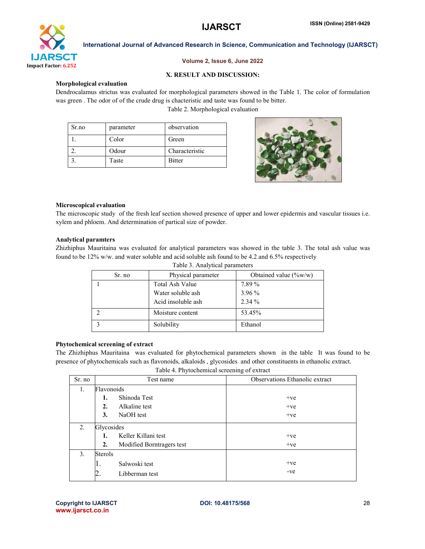

#### Volume 2, Issue 6, June 2022

#### X. RESULT AND DISCUSSION:

#### Morphological evaluation

Dendrocalamus strictus was evaluated for morphological parameters showed in the Table 1. The color of formulation was green . The odor of of the crude drug is chacteristic and taste was found to be bitter. Table 2. Morphological evaluation

| Sr.no | parameter | observation    |
|-------|-----------|----------------|
|       | Color     | Green          |
|       | Odour     | Characteristic |
|       | Taste     | <b>Bitter</b>  |



#### Microscopical evaluation

The microscopic study of the fresh leaf section showed presence of upper and lower epidermis and vascular tissues i.e. xylem and phloem. And determination of partical size of powder.

#### Analytical paramters

Zhizhiphus Mauritaina was evaluated for analytical parameters was showed in the table 3. The total ash value was found to be 12% w/w. and water soluble and acid soluble ash found to be 4.2 and 6.5% respectively

| Table 3. Analytical parameters |                    |                          |  |  |
|--------------------------------|--------------------|--------------------------|--|--|
| Physical parameter<br>Sr. no   |                    | Obtained value $(\%w/w)$ |  |  |
|                                | Total Ash Value    | 7.89%                    |  |  |
|                                | Water soluble ash  | 3.96 %                   |  |  |
|                                | Acid insoluble ash | $2.34\%$                 |  |  |
|                                | Moisture content   | 53.45%                   |  |  |
|                                | Solubility         | Ethanol                  |  |  |

#### Phytochemical screening of extract

The Zhizhiphus Mauritaina was evaluated for phytochemical parameters shown in the table It was found to be presence of phytochemicals such as flavonoids, alkaloids , glycosides and other constituents in ethanolic extract.

Table 4. Phytochemical screening of extract

| Sr. no | Test name        |                           | Observations Ethanolic extract |
|--------|------------------|---------------------------|--------------------------------|
| 1.     | Flavonoids       |                           |                                |
|        | 1.               | Shinoda Test              | $+ve$                          |
|        | $\overline{2}$ . | Alkaline test             | $+ve$                          |
|        | 3.               | NaOH test                 | $+ve$                          |
| 2.     | Glycosides       |                           |                                |
|        | 1.               | Keller Killani test       | $+ve$                          |
|        | 2.               | Modified Borntragers test | $+ve$                          |
| 3.     | Sterols          |                           |                                |
|        | ı.               | Salwoski test             | $+ve$                          |
|        |                  | Libberman test            | -ve                            |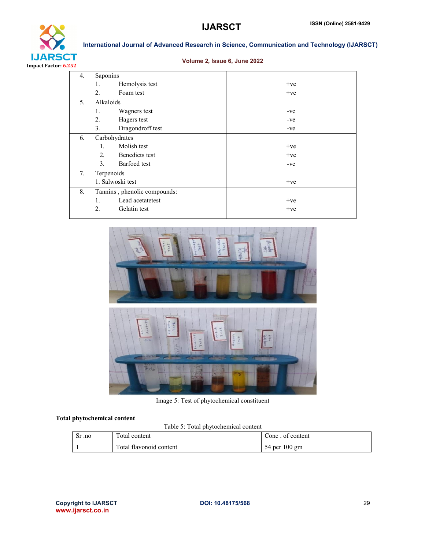

### Volume 2, Issue 6, June 2022

| $\overline{4}$ . | Saponins                              |       |
|------------------|---------------------------------------|-------|
|                  | Hemolysis test                        | $+ve$ |
|                  | Foam test<br>2.                       | $+ve$ |
| 5.               | Alkaloids                             |       |
|                  | Wagners test<br>ı.                    | -ve   |
|                  | Hagers test<br>2.                     | -ve   |
|                  | Dragondroff test<br>3.                | -ve   |
| 6.               | Carbohydrates                         |       |
|                  | Molish test<br>1.                     | $+ve$ |
|                  | 2.<br>Benedicts test                  | $+ve$ |
|                  | 3 <sub>1</sub><br><b>Barfoed</b> test | -ve   |
| 7.               | Terpenoids                            |       |
|                  | 1. Salwoski test                      | $+ve$ |
| 8.               | Tannins, phenolic compounds:          |       |
|                  | Lead acetatetest<br>ī.                | $+ve$ |
|                  | 2.<br>Gelatin test                    | $+ve$ |
|                  |                                       |       |



Image 5: Test of phytochemical constituent

## Total phytochemical content

Table 5: Total phytochemical content

| Sr .no | Total content           | Conc. of content |
|--------|-------------------------|------------------|
|        | Total flavonoid content | 54 per 100 gm    |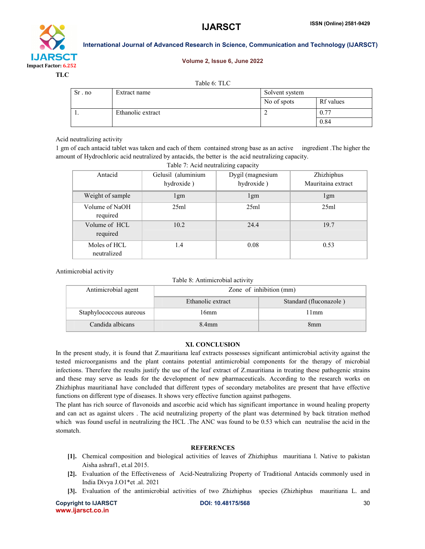# IJARSCT Impact Factor: 6.252

International Journal of Advanced Research in Science, Communication and Technology (IJARSCT)

#### Volume 2, Issue 6, June 2022

TLC

|  |  |  | Table 6: TLC |  |
|--|--|--|--------------|--|
|--|--|--|--------------|--|

| Sr. no | Extract name      | Solvent system |           |
|--------|-------------------|----------------|-----------|
|        |                   | No of spots    | Rf values |
|        | Ethanolic extract |                | 0.77      |
|        |                   |                | 0.84      |

#### Acid neutralizing activity

1 gm of each antacid tablet was taken and each of them contained strong base as an active ingredient .The higher the amount of Hydrochloric acid neutralized by antacids, the better is the acid neutralizing capacity.

| Table 7: Acid neutralizing capacity |                                  |                                |                                  |  |
|-------------------------------------|----------------------------------|--------------------------------|----------------------------------|--|
| Antacid                             | Gelusil (aluminium<br>hydroxide) | Dygil (magnesium<br>hydroxide) | Zhizhiphus<br>Mauritaina extract |  |
| Weight of sample                    | 1gm                              | 1gm                            | 1gm                              |  |
| Volume of NaOH<br>required          | 25ml                             | 25ml                           | 25ml                             |  |
| Volume of HCL<br>required           | 10.2                             | 24.4                           | 19.7                             |  |
| Moles of HCL<br>neutralized         | 1.4                              | 0.08                           | 0.53                             |  |

Antimicrobial activity

Table 8: Antimicrobial activity

| Antimicrobial agent     | Zone of inhibition (mm) |                        |
|-------------------------|-------------------------|------------------------|
|                         | Ethanolic extract       | Standard (fluconazole) |
| Staphylococcous aureous | 16mm                    | 11mm                   |
| Candida albicans        | 8.4 <sub>mm</sub>       | 8mm                    |

#### XI. CONCLUSION

In the present study, it is found that Z.mauritiana leaf extracts possesses significant antimicrobial activity against the tested microorganisms and the plant contains potential antimicrobial components for the therapy of microbial infections. Therefore the results justify the use of the leaf extract of Z.mauritiana in treating these pathogenic strains and these may serve as leads for the development of new pharmaceuticals. According to the research works on Zhizhiphus mauritianaI have concluded that different types of secondary metabolites are present that have effective functions on different type of diseases. It shows very effective function against pathogens.

The plant has rich source of flavonoids and ascorbic acid which has significant importance in wound healing property and can act as against ulcers . The acid neutralizing property of the plant was determined by back titration method which was found useful in neutralizing the HCL .The ANC was found to be 0.53 which can neutralise the acid in the stomatch.

#### **REFERENCES**

- [1]. Chemical composition and biological activities of leaves of Zhizhiphus mauritiana l. Native to pakistan Aisha ashraf1, et.al 2015.
- [2]. Evaluation of the Effectiveness of Acid-Neutralizing Property of Traditional Antacids commonly used in India Divya J.O1\*et .al. 2021
- [3]. Evaluation of the antimicrobial activities of two Zhizhiphus species (Zhizhiphus mauritiana L. and

Copyright to IJARSCTDOI: 10.48175/568 **30** www.ijarsct.co.in